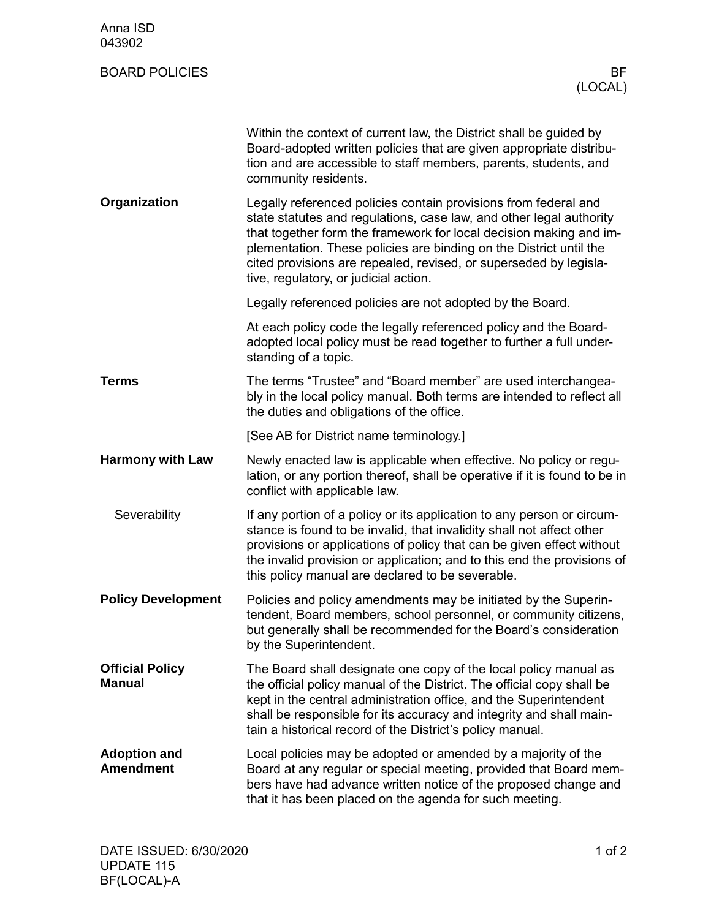| Anna ISD<br>043902                      |                                                                                                                                                                                                                                                                                                                                                                                                  |
|-----------------------------------------|--------------------------------------------------------------------------------------------------------------------------------------------------------------------------------------------------------------------------------------------------------------------------------------------------------------------------------------------------------------------------------------------------|
| <b>BOARD POLICIES</b>                   | BF<br>(LOCAL)                                                                                                                                                                                                                                                                                                                                                                                    |
|                                         | Within the context of current law, the District shall be guided by<br>Board-adopted written policies that are given appropriate distribu-<br>tion and are accessible to staff members, parents, students, and<br>community residents.                                                                                                                                                            |
| Organization                            | Legally referenced policies contain provisions from federal and<br>state statutes and regulations, case law, and other legal authority<br>that together form the framework for local decision making and im-<br>plementation. These policies are binding on the District until the<br>cited provisions are repealed, revised, or superseded by legisla-<br>tive, regulatory, or judicial action. |
|                                         | Legally referenced policies are not adopted by the Board.                                                                                                                                                                                                                                                                                                                                        |
|                                         | At each policy code the legally referenced policy and the Board-<br>adopted local policy must be read together to further a full under-<br>standing of a topic.                                                                                                                                                                                                                                  |
| Terms                                   | The terms "Trustee" and "Board member" are used interchangea-<br>bly in the local policy manual. Both terms are intended to reflect all<br>the duties and obligations of the office.                                                                                                                                                                                                             |
|                                         | [See AB for District name terminology.]                                                                                                                                                                                                                                                                                                                                                          |
| <b>Harmony with Law</b>                 | Newly enacted law is applicable when effective. No policy or regu-<br>lation, or any portion thereof, shall be operative if it is found to be in<br>conflict with applicable law.                                                                                                                                                                                                                |
| Severability                            | If any portion of a policy or its application to any person or circum-<br>stance is found to be invalid, that invalidity shall not affect other<br>provisions or applications of policy that can be given effect without<br>the invalid provision or application; and to this end the provisions of<br>this policy manual are declared to be severable.                                          |
| <b>Policy Development</b>               | Policies and policy amendments may be initiated by the Superin-<br>tendent, Board members, school personnel, or community citizens,<br>but generally shall be recommended for the Board's consideration<br>by the Superintendent.                                                                                                                                                                |
| <b>Official Policy</b><br><b>Manual</b> | The Board shall designate one copy of the local policy manual as<br>the official policy manual of the District. The official copy shall be<br>kept in the central administration office, and the Superintendent<br>shall be responsible for its accuracy and integrity and shall main-<br>tain a historical record of the District's policy manual.                                              |
| <b>Adoption and</b><br><b>Amendment</b> | Local policies may be adopted or amended by a majority of the<br>Board at any regular or special meeting, provided that Board mem-<br>bers have had advance written notice of the proposed change and<br>that it has been placed on the agenda for such meeting.                                                                                                                                 |